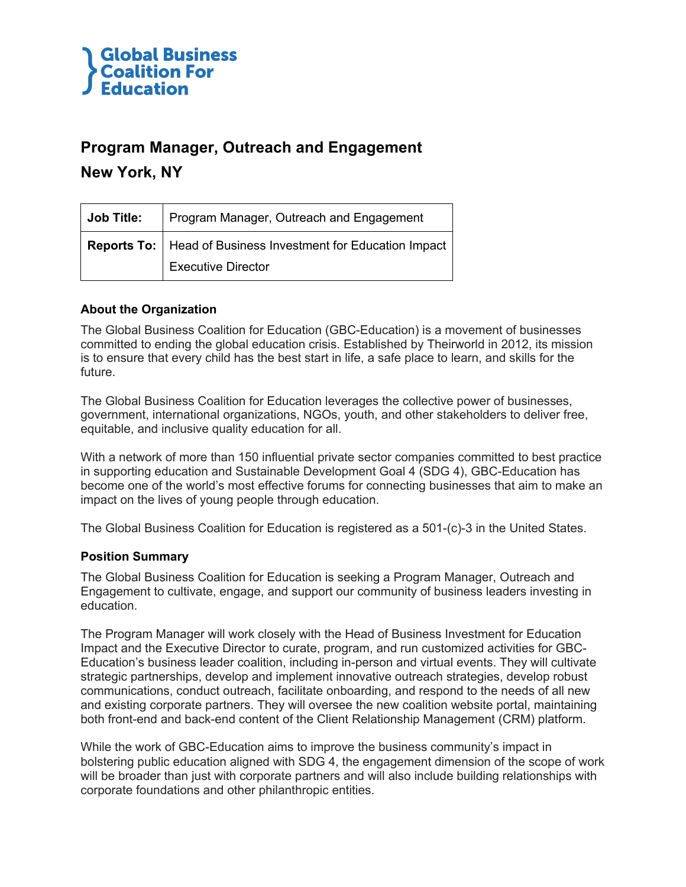

### **Program Manager, Outreach and Engagement**

### **New York, NY**

| Job Title: | Program Manager, Outreach and Engagement                       |
|------------|----------------------------------------------------------------|
|            | Reports To:   Head of Business Investment for Education Impact |
|            | <b>Executive Director</b>                                      |

### **About the Organization**

The Global Business Coalition for Education (GBC-Education) is a movement of businesses committed to ending the global education crisis. Established by Theirworld in 2012, its mission is to ensure that every child has the best start in life, a safe place to learn, and skills for the future.

The Global Business Coalition for Education leverages the collective power of businesses, government, international organizations, NGOs, youth, and other stakeholders to deliver free, equitable, and inclusive quality education for all.

With a network of more than 150 influential private sector companies committed to best practice in supporting education and Sustainable Development Goal 4 (SDG 4), GBC-Education has become one of the world's most effective forums for connecting businesses that aim to make an impact on the lives of young people through education.

The Global Business Coalition for Education is registered as a 501-(c)-3 in the United States.

#### **Position Summary**

The Global Business Coalition for Education is seeking a Program Manager, Outreach and Engagement to cultivate, engage, and support our community of business leaders investing in education.

The Program Manager will work closely with the Head of Business Investment for Education Impact and the Executive Director to curate, program, and run customized activities for GBC-Education's business leader coalition, including in-person and virtual events. They will cultivate strategic partnerships, develop and implement innovative outreach strategies, develop robust communications, conduct outreach, facilitate onboarding, and respond to the needs of all new and existing corporate partners. They will oversee the new coalition website portal, maintaining both front-end and back-end content of the Client Relationship Management (CRM) platform.

While the work of GBC-Education aims to improve the business community's impact in bolstering public education aligned with SDG 4, the engagement dimension of the scope of work will be broader than just with corporate partners and will also include building relationships with corporate foundations and other philanthropic entities.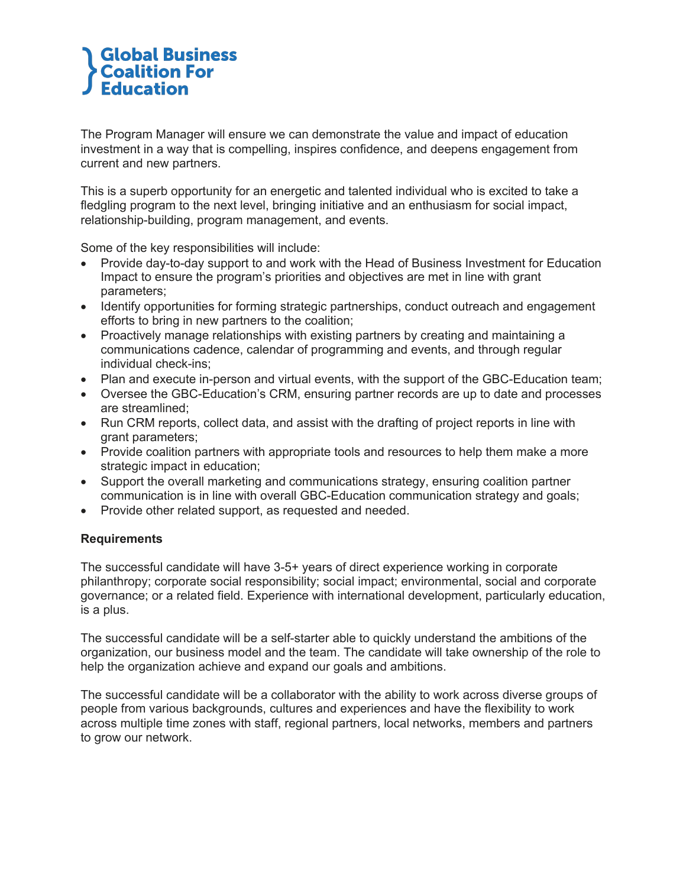# **Global Business<br>Coalition For Education**

The Program Manager will ensure we can demonstrate the value and impact of education investment in a way that is compelling, inspires confidence, and deepens engagement from current and new partners.

This is a superb opportunity for an energetic and talented individual who is excited to take a fledgling program to the next level, bringing initiative and an enthusiasm for social impact, relationship-building, program management, and events.

Some of the key responsibilities will include:

- Provide day-to-day support to and work with the Head of Business Investment for Education Impact to ensure the program's priorities and objectives are met in line with grant parameters;
- Identify opportunities for forming strategic partnerships, conduct outreach and engagement efforts to bring in new partners to the coalition;
- Proactively manage relationships with existing partners by creating and maintaining a communications cadence, calendar of programming and events, and through regular individual check-ins;
- Plan and execute in-person and virtual events, with the support of the GBC-Education team;
- Oversee the GBC-Education's CRM, ensuring partner records are up to date and processes are streamlined;
- Run CRM reports, collect data, and assist with the drafting of project reports in line with grant parameters;
- Provide coalition partners with appropriate tools and resources to help them make a more strategic impact in education;
- Support the overall marketing and communications strategy, ensuring coalition partner communication is in line with overall GBC-Education communication strategy and goals;
- Provide other related support, as requested and needed.

#### **Requirements**

The successful candidate will have 3-5+ years of direct experience working in corporate philanthropy; corporate social responsibility; social impact; environmental, social and corporate governance; or a related field. Experience with international development, particularly education, is a plus.

The successful candidate will be a self-starter able to quickly understand the ambitions of the organization, our business model and the team. The candidate will take ownership of the role to help the organization achieve and expand our goals and ambitions.

The successful candidate will be a collaborator with the ability to work across diverse groups of people from various backgrounds, cultures and experiences and have the flexibility to work across multiple time zones with staff, regional partners, local networks, members and partners to grow our network.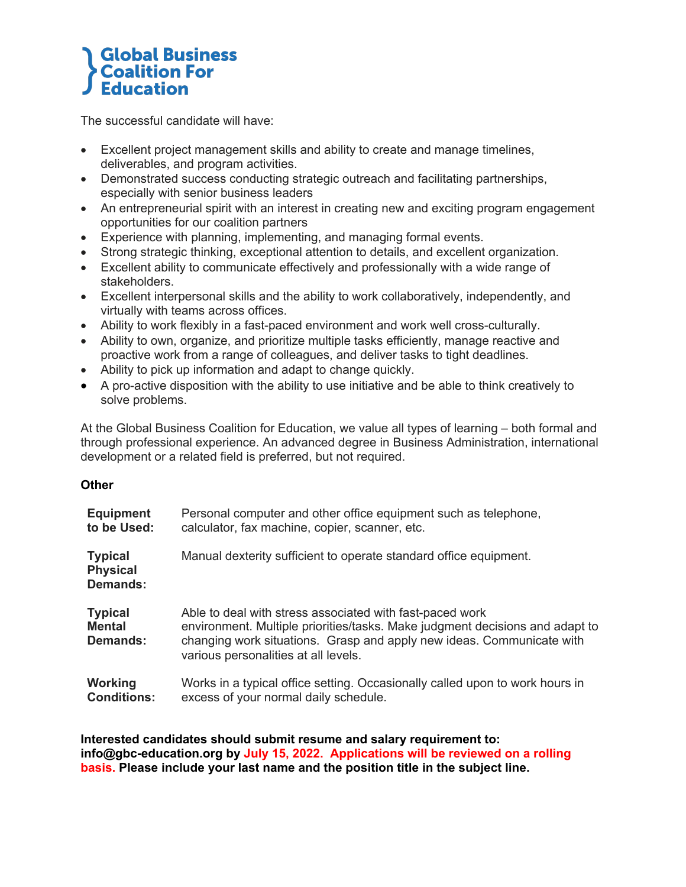### **Global Business<br>Coalition For Education**

The successful candidate will have:

- Excellent project management skills and ability to create and manage timelines, deliverables, and program activities.
- Demonstrated success conducting strategic outreach and facilitating partnerships, especially with senior business leaders
- An entrepreneurial spirit with an interest in creating new and exciting program engagement opportunities for our coalition partners
- Experience with planning, implementing, and managing formal events.
- Strong strategic thinking, exceptional attention to details, and excellent organization.
- Excellent ability to communicate effectively and professionally with a wide range of stakeholders.
- Excellent interpersonal skills and the ability to work collaboratively, independently, and virtually with teams across offices.
- Ability to work flexibly in a fast-paced environment and work well cross-culturally.
- Ability to own, organize, and prioritize multiple tasks efficiently, manage reactive and proactive work from a range of colleagues, and deliver tasks to tight deadlines.
- Ability to pick up information and adapt to change quickly.
- A pro-active disposition with the ability to use initiative and be able to think creatively to solve problems.

At the Global Business Coalition for Education, we value all types of learning – both formal and through professional experience. An advanced degree in Business Administration, international development or a related field is preferred, but not required.

#### **Other**

| <b>Equipment</b>                                     | Personal computer and other office equipment such as telephone,                                                                                                                                                                                           |
|------------------------------------------------------|-----------------------------------------------------------------------------------------------------------------------------------------------------------------------------------------------------------------------------------------------------------|
| to be Used:                                          | calculator, fax machine, copier, scanner, etc.                                                                                                                                                                                                            |
| <b>Typical</b><br><b>Physical</b><br><b>Demands:</b> | Manual dexterity sufficient to operate standard office equipment.                                                                                                                                                                                         |
| <b>Typical</b><br><b>Mental</b><br>Demands:          | Able to deal with stress associated with fast-paced work<br>environment. Multiple priorities/tasks. Make judgment decisions and adapt to<br>changing work situations. Grasp and apply new ideas. Communicate with<br>various personalities at all levels. |
| Working                                              | Works in a typical office setting. Occasionally called upon to work hours in                                                                                                                                                                              |
| <b>Conditions:</b>                                   | excess of your normal daily schedule.                                                                                                                                                                                                                     |

**Interested candidates should submit resume and salary requirement to: info@gbc-education.org by July 15, 2022. Applications will be reviewed on a rolling basis. Please include your last name and the position title in the subject line.**